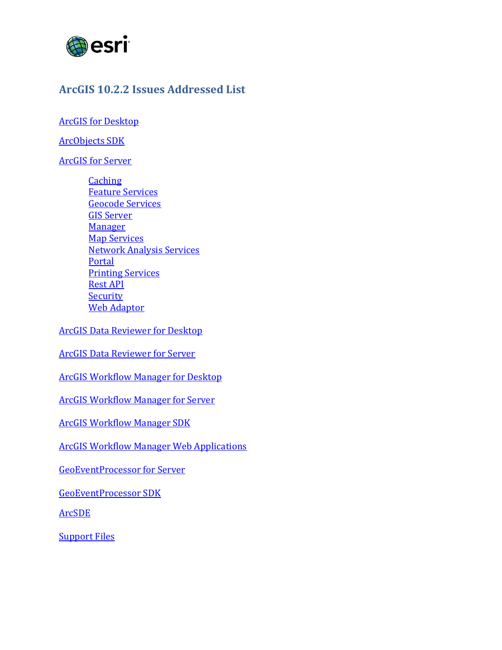

## <span id="page-0-2"></span>**ArcGIS 10.2.2 Issues Addressed List**

[ArcGIS for Desktop](#page-1-0)

<span id="page-0-0"></span>[ArcObjects](#page-0-0) SDK

ArcGIS [for Server](#page-6-0)

**[Caching](#page-6-1)** [Feature Services](#page-6-2) [Geocode Services](#page-7-0) [GIS Server](#page-7-1) **[Manager](#page-7-2) [Map Services](#page-8-0)** [Network Analysis Services](#page-8-1) [Portal](#page-9-0) [Printing Services](#page-10-0) [Rest API](#page-10-1) **[Security](#page-10-2)** Web [Adaptor](#page-10-3)

[ArcGIS Data Reviewer for Desktop](#page-11-0)

[ArcGIS Data Reviewer for Server](#page-11-1)

[ArcGIS Workflow Manager for Desktop](#page-11-2)

[ArcGIS Workflow Manager for Server](#page-13-0)

ArcGIS Workflow Manager SDK

<span id="page-0-1"></span>[ArcGIS Workflow Manager Web Applications](#page-13-1)

[GeoEventProcessor for Server](#page-13-2)

[GeoEventProcessor SDK](#page-15-0)

[ArcSDE](#page-0-1)

**[Support Files](#page-17-0)**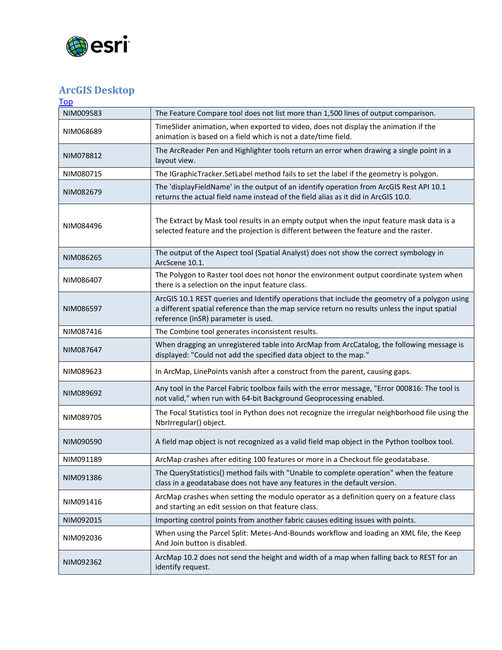

## <span id="page-1-0"></span>**ArcGIS Desktop**

| Top       |                                                                                                                                                                                                                                       |
|-----------|---------------------------------------------------------------------------------------------------------------------------------------------------------------------------------------------------------------------------------------|
| NIM009583 | The Feature Compare tool does not list more than 1,500 lines of output comparison.                                                                                                                                                    |
| NIM068689 | TimeSlider animation, when exported to video, does not display the animation if the<br>animation is based on a field which is not a date/time field.                                                                                  |
| NIM078812 | The ArcReader Pen and Highlighter tools return an error when drawing a single point in a<br>layout view.                                                                                                                              |
| NIM080715 | The IGraphicTracker.SetLabel method fails to set the label if the geometry is polygon.                                                                                                                                                |
| NIM082679 | The 'displayFieldName' in the output of an identify operation from ArcGIS Rest API 10.1<br>returns the actual field name instead of the field alias as it did in ArcGIS 10.0.                                                         |
| NIM084496 | The Extract by Mask tool results in an empty output when the input feature mask data is a<br>selected feature and the projection is different between the feature and the raster.                                                     |
| NIM086265 | The output of the Aspect tool (Spatial Analyst) does not show the correct symbology in<br>ArcScene 10.1.                                                                                                                              |
| NIM086407 | The Polygon to Raster tool does not honor the environment output coordinate system when<br>there is a selection on the input feature class.                                                                                           |
| NIM086597 | ArcGIS 10.1 REST queries and Identify operations that include the geometry of a polygon using<br>a different spatial reference than the map service return no results unless the input spatial<br>reference (inSR) parameter is used. |
| NIM087416 | The Combine tool generates inconsistent results.                                                                                                                                                                                      |
| NIM087647 | When dragging an unregistered table into ArcMap from ArcCatalog, the following message is<br>displayed: "Could not add the specified data object to the map."                                                                         |
| NIM089623 | In ArcMap, LinePoints vanish after a construct from the parent, causing gaps.                                                                                                                                                         |
| NIM089692 | Any tool in the Parcel Fabric toolbox fails with the error message, "Error 000816: The tool is<br>not valid," when run with 64-bit Background Geoprocessing enabled.                                                                  |
| NIM089705 | The Focal Statistics tool in Python does not recognize the irregular neighborhood file using the<br>NbrIrregular() object.                                                                                                            |
| NIM090590 | A field map object is not recognized as a valid field map object in the Python toolbox tool.                                                                                                                                          |
| NIM091189 | ArcMap crashes after editing 100 features or more in a Checkout file geodatabase.                                                                                                                                                     |
| NIM091386 | The QueryStatistics() method fails with "Unable to complete operation" when the feature<br>class in a geodatabase does not have any features in the default version.                                                                  |
| NIM091416 | ArcMap crashes when setting the modulo operator as a definition query on a feature class<br>and starting an edit session on that feature class.                                                                                       |
| NIM092015 | Importing control points from another fabric causes editing issues with points.                                                                                                                                                       |
| NIM092036 | When using the Parcel Split: Metes-And-Bounds workflow and loading an XML file, the Keep<br>And Join button is disabled.                                                                                                              |
| NIM092362 | ArcMap 10.2 does not send the height and width of a map when falling back to REST for an<br>identify request.                                                                                                                         |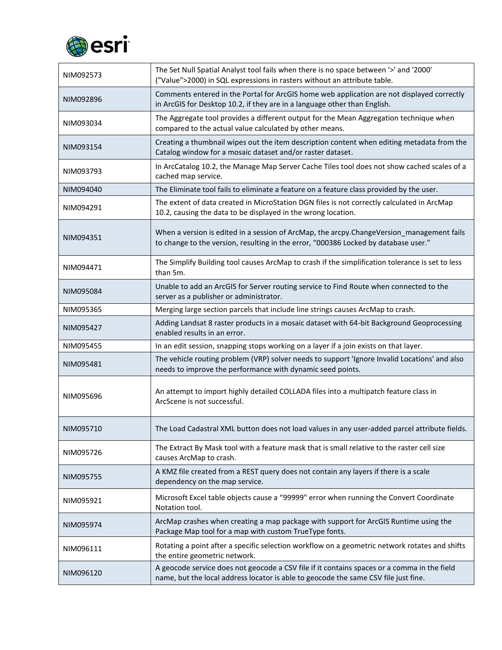

| NIM092573 | The Set Null Spatial Analyst tool fails when there is no space between '>' and '2000'<br>("Value">2000) in SQL expressions in rasters without an attribute table.                  |
|-----------|------------------------------------------------------------------------------------------------------------------------------------------------------------------------------------|
| NIM092896 | Comments entered in the Portal for ArcGIS home web application are not displayed correctly<br>in ArcGIS for Desktop 10.2, if they are in a language other than English.            |
| NIM093034 | The Aggregate tool provides a different output for the Mean Aggregation technique when<br>compared to the actual value calculated by other means.                                  |
| NIM093154 | Creating a thumbnail wipes out the item description content when editing metadata from the<br>Catalog window for a mosaic dataset and/or raster dataset.                           |
| NIM093793 | In ArcCatalog 10.2, the Manage Map Server Cache Tiles tool does not show cached scales of a<br>cached map service.                                                                 |
| NIM094040 | The Eliminate tool fails to eliminate a feature on a feature class provided by the user.                                                                                           |
| NIM094291 | The extent of data created in MicroStation DGN files is not correctly calculated in ArcMap<br>10.2, causing the data to be displayed in the wrong location.                        |
| NIM094351 | When a version is edited in a session of ArcMap, the arcpy.ChangeVersion_management fails<br>to change to the version, resulting in the error, "000386 Locked by database user."   |
| NIM094471 | The Simplify Building tool causes ArcMap to crash if the simplification tolerance is set to less<br>than 5m.                                                                       |
| NIM095084 | Unable to add an ArcGIS for Server routing service to Find Route when connected to the<br>server as a publisher or administrator.                                                  |
| NIM095365 | Merging large section parcels that include line strings causes ArcMap to crash.                                                                                                    |
| NIM095427 | Adding Landsat 8 raster products in a mosaic dataset with 64-bit Background Geoprocessing<br>enabled results in an error.                                                          |
| NIM095455 | In an edit session, snapping stops working on a layer if a join exists on that layer.                                                                                              |
| NIM095481 | The vehicle routing problem (VRP) solver needs to support 'Ignore Invalid Locations' and also<br>needs to improve the performance with dynamic seed points.                        |
| NIM095696 | An attempt to import highly detailed COLLADA files into a multipatch feature class in<br>ArcScene is not successful.                                                               |
| NIM095710 | The Load Cadastral XML button does not load values in any user-added parcel attribute fields.                                                                                      |
| NIM095726 | The Extract By Mask tool with a feature mask that is small relative to the raster cell size<br>causes ArcMap to crash.                                                             |
| NIM095755 | A KMZ file created from a REST query does not contain any layers if there is a scale<br>dependency on the map service.                                                             |
| NIM095921 | Microsoft Excel table objects cause a "99999" error when running the Convert Coordinate<br>Notation tool.                                                                          |
| NIM095974 | ArcMap crashes when creating a map package with support for ArcGIS Runtime using the<br>Package Map tool for a map with custom TrueType fonts.                                     |
| NIM096111 | Rotating a point after a specific selection workflow on a geometric network rotates and shifts<br>the entire geometric network.                                                    |
| NIM096120 | A geocode service does not geocode a CSV file if it contains spaces or a comma in the field<br>name, but the local address locator is able to geocode the same CSV file just fine. |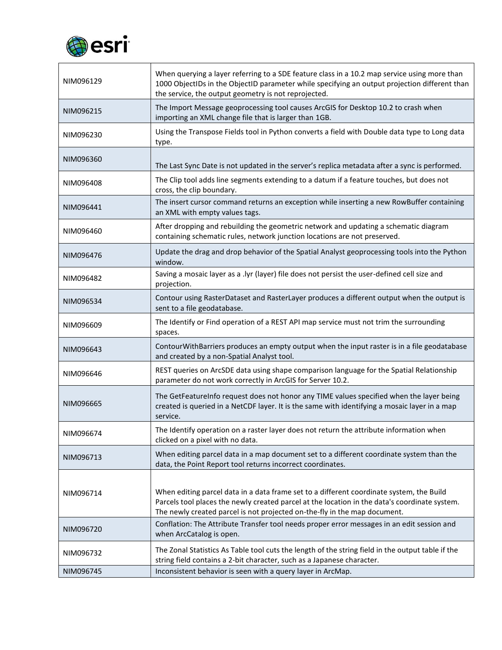

| NIM096129 | When querying a layer referring to a SDE feature class in a 10.2 map service using more than<br>1000 ObjectIDs in the ObjectID parameter while specifying an output projection different than<br>the service, the output geometry is not reprojected.                  |
|-----------|------------------------------------------------------------------------------------------------------------------------------------------------------------------------------------------------------------------------------------------------------------------------|
| NIM096215 | The Import Message geoprocessing tool causes ArcGIS for Desktop 10.2 to crash when<br>importing an XML change file that is larger than 1GB.                                                                                                                            |
| NIM096230 | Using the Transpose Fields tool in Python converts a field with Double data type to Long data<br>type.                                                                                                                                                                 |
| NIM096360 | The Last Sync Date is not updated in the server's replica metadata after a sync is performed.                                                                                                                                                                          |
| NIM096408 | The Clip tool adds line segments extending to a datum if a feature touches, but does not<br>cross, the clip boundary.                                                                                                                                                  |
| NIM096441 | The insert cursor command returns an exception while inserting a new RowBuffer containing<br>an XML with empty values tags.                                                                                                                                            |
| NIM096460 | After dropping and rebuilding the geometric network and updating a schematic diagram<br>containing schematic rules, network junction locations are not preserved.                                                                                                      |
| NIM096476 | Update the drag and drop behavior of the Spatial Analyst geoprocessing tools into the Python<br>window.                                                                                                                                                                |
| NIM096482 | Saving a mosaic layer as a .lyr (layer) file does not persist the user-defined cell size and<br>projection.                                                                                                                                                            |
| NIM096534 | Contour using RasterDataset and RasterLayer produces a different output when the output is<br>sent to a file geodatabase.                                                                                                                                              |
| NIM096609 | The Identify or Find operation of a REST API map service must not trim the surrounding<br>spaces.                                                                                                                                                                      |
| NIM096643 | ContourWithBarriers produces an empty output when the input raster is in a file geodatabase<br>and created by a non-Spatial Analyst tool.                                                                                                                              |
| NIM096646 | REST queries on ArcSDE data using shape comparison language for the Spatial Relationship<br>parameter do not work correctly in ArcGIS for Server 10.2.                                                                                                                 |
| NIM096665 | The GetFeatureInfo request does not honor any TIME values specified when the layer being<br>created is queried in a NetCDF layer. It is the same with identifying a mosaic layer in a map<br>service.                                                                  |
| NIM096674 | The Identify operation on a raster layer does not return the attribute information when<br>clicked on a pixel with no data.                                                                                                                                            |
| NIM096713 | When editing parcel data in a map document set to a different coordinate system than the<br>data, the Point Report tool returns incorrect coordinates.                                                                                                                 |
| NIM096714 | When editing parcel data in a data frame set to a different coordinate system, the Build<br>Parcels tool places the newly created parcel at the location in the data's coordinate system.<br>The newly created parcel is not projected on-the-fly in the map document. |
| NIM096720 | Conflation: The Attribute Transfer tool needs proper error messages in an edit session and<br>when ArcCatalog is open.                                                                                                                                                 |
| NIM096732 | The Zonal Statistics As Table tool cuts the length of the string field in the output table if the<br>string field contains a 2-bit character, such as a Japanese character.                                                                                            |
| NIM096745 | Inconsistent behavior is seen with a query layer in ArcMap.                                                                                                                                                                                                            |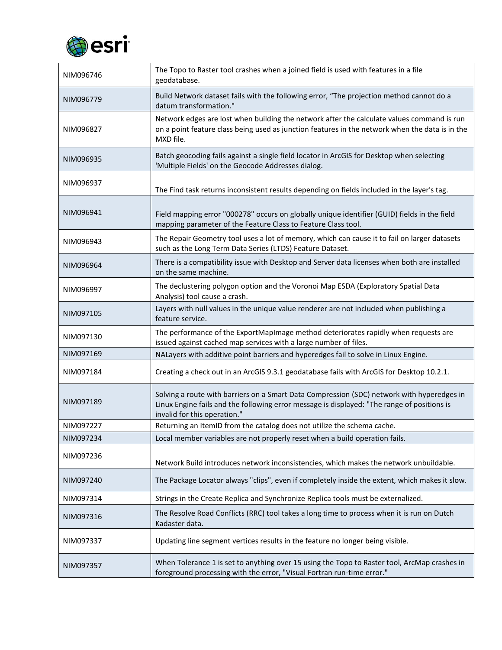

| NIM096746 | The Topo to Raster tool crashes when a joined field is used with features in a file<br>geodatabase.                                                                                                                       |
|-----------|---------------------------------------------------------------------------------------------------------------------------------------------------------------------------------------------------------------------------|
| NIM096779 | Build Network dataset fails with the following error, "The projection method cannot do a<br>datum transformation."                                                                                                        |
| NIM096827 | Network edges are lost when building the network after the calculate values command is run<br>on a point feature class being used as junction features in the network when the data is in the<br>MXD file.                |
| NIM096935 | Batch geocoding fails against a single field locator in ArcGIS for Desktop when selecting<br>'Multiple Fields' on the Geocode Addresses dialog.                                                                           |
| NIM096937 | The Find task returns inconsistent results depending on fields included in the layer's tag.                                                                                                                               |
| NIM096941 | Field mapping error "000278" occurs on globally unique identifier (GUID) fields in the field<br>mapping parameter of the Feature Class to Feature Class tool.                                                             |
| NIM096943 | The Repair Geometry tool uses a lot of memory, which can cause it to fail on larger datasets<br>such as the Long Term Data Series (LTDS) Feature Dataset.                                                                 |
| NIM096964 | There is a compatibility issue with Desktop and Server data licenses when both are installed<br>on the same machine.                                                                                                      |
| NIM096997 | The declustering polygon option and the Voronoi Map ESDA (Exploratory Spatial Data<br>Analysis) tool cause a crash.                                                                                                       |
| NIM097105 | Layers with null values in the unique value renderer are not included when publishing a<br>feature service.                                                                                                               |
| NIM097130 | The performance of the ExportMapImage method deteriorates rapidly when requests are<br>issued against cached map services with a large number of files.                                                                   |
| NIM097169 | NALayers with additive point barriers and hyperedges fail to solve in Linux Engine.                                                                                                                                       |
| NIM097184 | Creating a check out in an ArcGIS 9.3.1 geodatabase fails with ArcGIS for Desktop 10.2.1.                                                                                                                                 |
| NIM097189 | Solving a route with barriers on a Smart Data Compression (SDC) network with hyperedges in<br>Linux Engine fails and the following error message is displayed: "The range of positions is<br>invalid for this operation." |
| NIM097227 | Returning an ItemID from the catalog does not utilize the schema cache.                                                                                                                                                   |
| NIM097234 | Local member variables are not properly reset when a build operation fails.                                                                                                                                               |
| NIM097236 | Network Build introduces network inconsistencies, which makes the network unbuildable.                                                                                                                                    |
| NIM097240 | The Package Locator always "clips", even if completely inside the extent, which makes it slow.                                                                                                                            |
| NIM097314 | Strings in the Create Replica and Synchronize Replica tools must be externalized.                                                                                                                                         |
| NIM097316 | The Resolve Road Conflicts (RRC) tool takes a long time to process when it is run on Dutch<br>Kadaster data.                                                                                                              |
| NIM097337 | Updating line segment vertices results in the feature no longer being visible.                                                                                                                                            |
| NIM097357 | When Tolerance 1 is set to anything over 15 using the Topo to Raster tool, ArcMap crashes in<br>foreground processing with the error, "Visual Fortran run-time error."                                                    |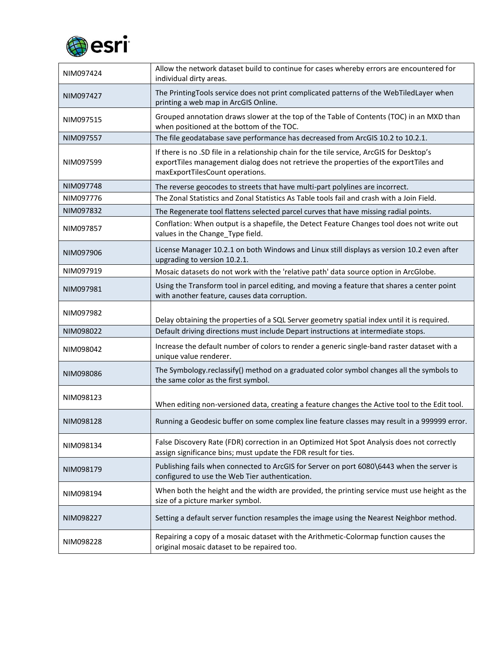

| NIM097424 | Allow the network dataset build to continue for cases whereby errors are encountered for<br>individual dirty areas.                                                                                                    |
|-----------|------------------------------------------------------------------------------------------------------------------------------------------------------------------------------------------------------------------------|
| NIM097427 | The PrintingTools service does not print complicated patterns of the WebTiledLayer when<br>printing a web map in ArcGIS Online.                                                                                        |
| NIM097515 | Grouped annotation draws slower at the top of the Table of Contents (TOC) in an MXD than<br>when positioned at the bottom of the TOC.                                                                                  |
| NIM097557 | The file geodatabase save performance has decreased from ArcGIS 10.2 to 10.2.1.                                                                                                                                        |
| NIM097599 | If there is no .SD file in a relationship chain for the tile service, ArcGIS for Desktop's<br>exportTiles management dialog does not retrieve the properties of the exportTiles and<br>maxExportTilesCount operations. |
| NIM097748 | The reverse geocodes to streets that have multi-part polylines are incorrect.                                                                                                                                          |
| NIM097776 | The Zonal Statistics and Zonal Statistics As Table tools fail and crash with a Join Field.                                                                                                                             |
| NIM097832 | The Regenerate tool flattens selected parcel curves that have missing radial points.                                                                                                                                   |
| NIM097857 | Conflation: When output is a shapefile, the Detect Feature Changes tool does not write out<br>values in the Change Type field.                                                                                         |
| NIM097906 | License Manager 10.2.1 on both Windows and Linux still displays as version 10.2 even after<br>upgrading to version 10.2.1.                                                                                             |
| NIM097919 | Mosaic datasets do not work with the 'relative path' data source option in ArcGlobe.                                                                                                                                   |
| NIM097981 | Using the Transform tool in parcel editing, and moving a feature that shares a center point<br>with another feature, causes data corruption.                                                                           |
| NIM097982 | Delay obtaining the properties of a SQL Server geometry spatial index until it is required.                                                                                                                            |
| NIM098022 | Default driving directions must include Depart instructions at intermediate stops.                                                                                                                                     |
| NIM098042 | Increase the default number of colors to render a generic single-band raster dataset with a<br>unique value renderer.                                                                                                  |
| NIM098086 | The Symbology.reclassify() method on a graduated color symbol changes all the symbols to<br>the same color as the first symbol.                                                                                        |
| NIM098123 | When editing non-versioned data, creating a feature changes the Active tool to the Edit tool.                                                                                                                          |
| NIM098128 | Running a Geodesic buffer on some complex line feature classes may result in a 999999 error.                                                                                                                           |
| NIM098134 | False Discovery Rate (FDR) correction in an Optimized Hot Spot Analysis does not correctly<br>assign significance bins; must update the FDR result for ties.                                                           |
| NIM098179 | Publishing fails when connected to ArcGIS for Server on port 6080\6443 when the server is<br>configured to use the Web Tier authentication.                                                                            |
| NIM098194 | When both the height and the width are provided, the printing service must use height as the<br>size of a picture marker symbol.                                                                                       |
| NIM098227 | Setting a default server function resamples the image using the Nearest Neighbor method.                                                                                                                               |
| NIM098228 | Repairing a copy of a mosaic dataset with the Arithmetic-Colormap function causes the<br>original mosaic dataset to be repaired too.                                                                                   |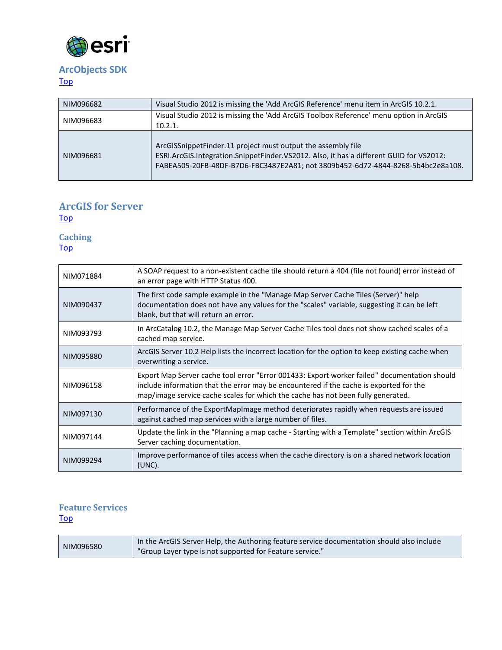

## <span id="page-6-0"></span>**ArcObjects SDK**

[Top](#page-0-2)

| NIM096682 | Visual Studio 2012 is missing the 'Add ArcGIS Reference' menu item in ArcGIS 10.2.1.                                                                                                                                                       |
|-----------|--------------------------------------------------------------------------------------------------------------------------------------------------------------------------------------------------------------------------------------------|
| NIM096683 | Visual Studio 2012 is missing the 'Add ArcGIS Toolbox Reference' menu option in ArcGIS<br>10.2.1.                                                                                                                                          |
|           |                                                                                                                                                                                                                                            |
| NIM096681 | ArcGISSnippetFinder.11 project must output the assembly file<br>ESRI.ArcGIS.Integration.SnippetFinder.VS2012. Also, it has a different GUID for VS2012:<br>FABEA505-20FB-48DF-B7D6-FBC3487E2A81; not 3809b452-6d72-4844-8268-5b4bc2e8a108. |

#### **ArcGIS for Server** [Top](#page-0-2)

<span id="page-6-1"></span>**Caching** [Top](#page-0-2)

NIM071884 A SOAP request to a non-existent cache tile should return a 404 (file not found) error instead of an error page with HTTP Status 400. NIM090437 The first code sample example in the "Manage Map Server Cache Tiles (Server)" help documentation does not have any values for the "scales" variable, suggesting it can be left blank, but that will return an error. NIM093793 In ArcCatalog 10.2, the Manage Map Server Cache Tiles tool does not show cached scales of a cached map service. NIM095880 ArcGIS Server 10.2 Help lists the incorrect location for the option to keep existing cache when overwriting a service. NIM096158 Export Map Server cache tool error "Error 001433: Export worker failed" documentation should include information that the error may be encountered if the cache is exported for the map/image service cache scales for which the cache has not been fully generated. NIM097130 Performance of the ExportMapImage method deteriorates rapidly when requests are issued against cached map services with a large number of files. NIM097144 Update the link in the "Planning a map cache - Starting with a Template" section within ArcGIS Server caching documentation. NIM099294 Improve performance of tiles access when the cache directory is on a shared network location (UNC).

### <span id="page-6-2"></span>**Feature Services [Top](#page-0-2)**

| NIM096580 | In the ArcGIS Server Help, the Authoring feature service documentation should also include |
|-----------|--------------------------------------------------------------------------------------------|
|           | "Group Layer type is not supported for Feature service."                                   |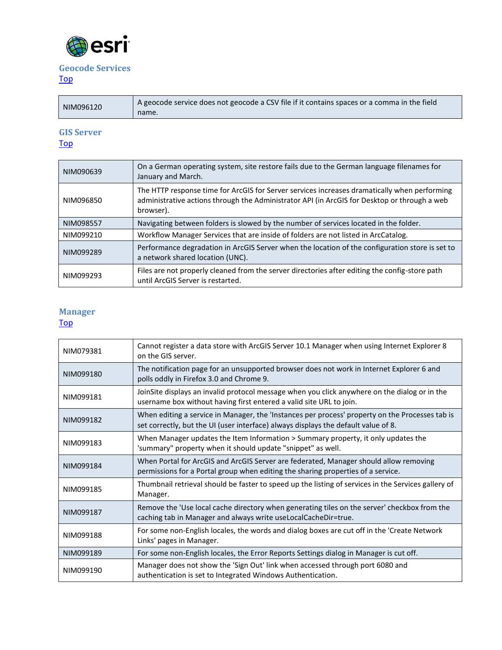

## <span id="page-7-0"></span>**Geocode Services**

[Top](#page-0-2)

| NIM096120 | A geocode service does not geocode a CSV file if it contains spaces or a comma in the field<br>name. |
|-----------|------------------------------------------------------------------------------------------------------|

# <span id="page-7-1"></span>**GIS Server**

## [Top](#page-0-2)

| NIM090639 | On a German operating system, site restore fails due to the German language filenames for<br>January and March.                                                                                           |
|-----------|-----------------------------------------------------------------------------------------------------------------------------------------------------------------------------------------------------------|
| NIM096850 | The HTTP response time for ArcGIS for Server services increases dramatically when performing<br>administrative actions through the Administrator API (in ArcGIS for Desktop or through a web<br>browser). |
| NIM098557 | Navigating between folders is slowed by the number of services located in the folder.                                                                                                                     |
| NIM099210 | Workflow Manager Services that are inside of folders are not listed in ArcCatalog.                                                                                                                        |
| NIM099289 | Performance degradation in ArcGIS Server when the location of the configuration store is set to<br>a network shared location (UNC).                                                                       |
| NIM099293 | Files are not properly cleaned from the server directories after editing the config-store path<br>until ArcGIS Server is restarted.                                                                       |

#### <span id="page-7-2"></span>**Manager** [Top](#page-0-2)

| NIM079381 | Cannot register a data store with ArcGIS Server 10.1 Manager when using Internet Explorer 8<br>on the GIS server.                                                                     |
|-----------|---------------------------------------------------------------------------------------------------------------------------------------------------------------------------------------|
| NIM099180 | The notification page for an unsupported browser does not work in Internet Explorer 6 and<br>polls oddly in Firefox 3.0 and Chrome 9.                                                 |
| NIM099181 | JoinSite displays an invalid protocol message when you click anywhere on the dialog or in the<br>username box without having first entered a valid site URL to join.                  |
| NIM099182 | When editing a service in Manager, the 'Instances per process' property on the Processes tab is<br>set correctly, but the UI (user interface) always displays the default value of 8. |
| NIM099183 | When Manager updates the Item Information > Summary property, it only updates the<br>'summary" property when it should update "snippet" as well.                                      |
| NIM099184 | When Portal for ArcGIS and ArcGIS Server are federated, Manager should allow removing<br>permissions for a Portal group when editing the sharing properties of a service.             |
| NIM099185 | Thumbnail retrieval should be faster to speed up the listing of services in the Services gallery of<br>Manager.                                                                       |
| NIM099187 | Remove the 'Use local cache directory when generating tiles on the server' checkbox from the<br>caching tab in Manager and always write useLocalCacheDir=true.                        |
| NIM099188 | For some non-English locales, the words and dialog boxes are cut off in the 'Create Network<br>Links' pages in Manager.                                                               |
| NIM099189 | For some non-English locales, the Error Reports Settings dialog in Manager is cut off.                                                                                                |
| NIM099190 | Manager does not show the 'Sign Out' link when accessed through port 6080 and<br>authentication is set to Integrated Windows Authentication.                                          |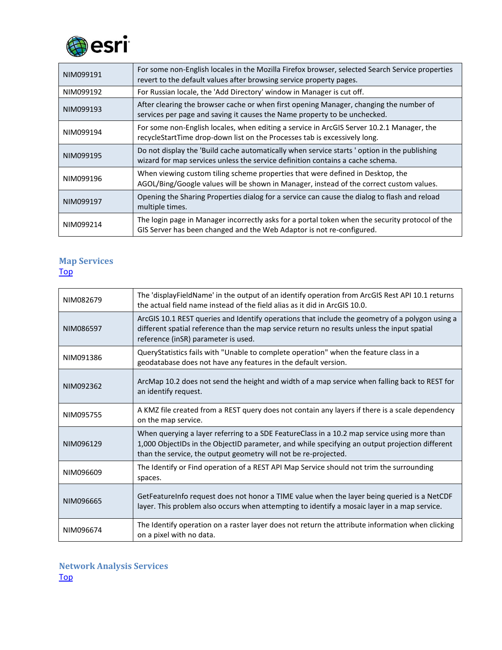

| NIM099191 | For some non-English locales in the Mozilla Firefox browser, selected Search Service properties<br>revert to the default values after browsing service property pages.        |
|-----------|-------------------------------------------------------------------------------------------------------------------------------------------------------------------------------|
| NIM099192 | For Russian locale, the 'Add Directory' window in Manager is cut off.                                                                                                         |
| NIM099193 | After clearing the browser cache or when first opening Manager, changing the number of<br>services per page and saving it causes the Name property to be unchecked.           |
| NIM099194 | For some non-English locales, when editing a service in ArcGIS Server 10.2.1 Manager, the<br>recycleStartTime drop-down list on the Processes tab is excessively long.        |
| NIM099195 | Do not display the 'Build cache automatically when service starts' option in the publishing<br>wizard for map services unless the service definition contains a cache schema. |
| NIM099196 | When viewing custom tiling scheme properties that were defined in Desktop, the<br>AGOL/Bing/Google values will be shown in Manager, instead of the correct custom values.     |
| NIM099197 | Opening the Sharing Properties dialog for a service can cause the dialog to flash and reload<br>multiple times.                                                               |
| NIM099214 | The login page in Manager incorrectly asks for a portal token when the security protocol of the<br>GIS Server has been changed and the Web Adaptor is not re-configured.      |

### <span id="page-8-0"></span>**Map Services** [Top](#page-0-2)

| NIM082679 | The 'displayFieldName' in the output of an identify operation from ArcGIS Rest API 10.1 returns<br>the actual field name instead of the field alias as it did in ArcGIS 10.0.                                                                                    |
|-----------|------------------------------------------------------------------------------------------------------------------------------------------------------------------------------------------------------------------------------------------------------------------|
| NIM086597 | ArcGIS 10.1 REST queries and Identify operations that include the geometry of a polygon using a<br>different spatial reference than the map service return no results unless the input spatial<br>reference (inSR) parameter is used.                            |
| NIM091386 | QueryStatistics fails with "Unable to complete operation" when the feature class in a<br>geodatabase does not have any features in the default version.                                                                                                          |
| NIM092362 | ArcMap 10.2 does not send the height and width of a map service when falling back to REST for<br>an identify request.                                                                                                                                            |
| NIM095755 | A KMZ file created from a REST query does not contain any layers if there is a scale dependency<br>on the map service.                                                                                                                                           |
| NIM096129 | When querying a layer referring to a SDE FeatureClass in a 10.2 map service using more than<br>1,000 ObjectIDs in the ObjectID parameter, and while specifying an output projection different<br>than the service, the output geometry will not be re-projected. |
| NIM096609 | The Identify or Find operation of a REST API Map Service should not trim the surrounding<br>spaces.                                                                                                                                                              |
| NIM096665 | GetFeatureInfo request does not honor a TIME value when the layer being queried is a NetCDF<br>layer. This problem also occurs when attempting to identify a mosaic layer in a map service.                                                                      |
| NIM096674 | The Identify operation on a raster layer does not return the attribute information when clicking<br>on a pixel with no data.                                                                                                                                     |

<span id="page-8-1"></span>**Network Analysis Services** [Top](#page-0-2)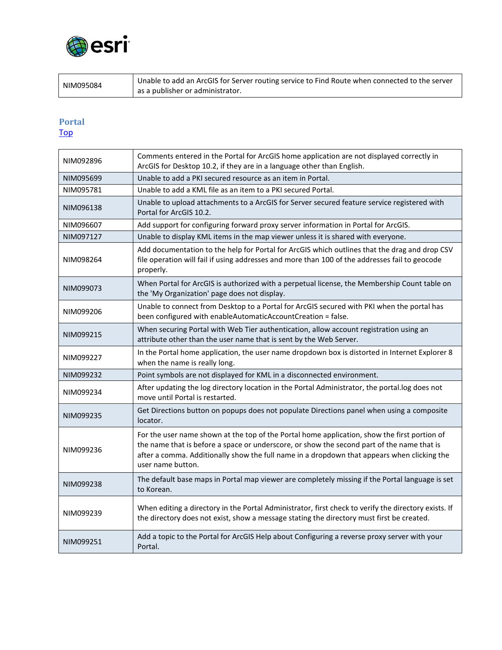

NIM095084 Unable to add an ArcGIS for Server routing service to Find Route when connected to the server as a publisher or administrator.

#### <span id="page-9-0"></span>**Portal** [Top](#page-0-2)

| NIM092896 | Comments entered in the Portal for ArcGIS home application are not displayed correctly in<br>ArcGIS for Desktop 10.2, if they are in a language other than English.                                                                                                                                            |
|-----------|----------------------------------------------------------------------------------------------------------------------------------------------------------------------------------------------------------------------------------------------------------------------------------------------------------------|
| NIM095699 | Unable to add a PKI secured resource as an item in Portal.                                                                                                                                                                                                                                                     |
| NIM095781 | Unable to add a KML file as an item to a PKI secured Portal.                                                                                                                                                                                                                                                   |
| NIM096138 | Unable to upload attachments to a ArcGIS for Server secured feature service registered with<br>Portal for ArcGIS 10.2.                                                                                                                                                                                         |
| NIM096607 | Add support for configuring forward proxy server information in Portal for ArcGIS.                                                                                                                                                                                                                             |
| NIM097127 | Unable to display KML items in the map viewer unless it is shared with everyone.                                                                                                                                                                                                                               |
| NIM098264 | Add documentation to the help for Portal for ArcGIS which outlines that the drag and drop CSV<br>file operation will fail if using addresses and more than 100 of the addresses fail to geocode<br>properly.                                                                                                   |
| NIM099073 | When Portal for ArcGIS is authorized with a perpetual license, the Membership Count table on<br>the 'My Organization' page does not display.                                                                                                                                                                   |
| NIM099206 | Unable to connect from Desktop to a Portal for ArcGIS secured with PKI when the portal has<br>been configured with enableAutomaticAccountCreation = false.                                                                                                                                                     |
| NIM099215 | When securing Portal with Web Tier authentication, allow account registration using an<br>attribute other than the user name that is sent by the Web Server.                                                                                                                                                   |
| NIM099227 | In the Portal home application, the user name dropdown box is distorted in Internet Explorer 8<br>when the name is really long.                                                                                                                                                                                |
| NIM099232 | Point symbols are not displayed for KML in a disconnected environment.                                                                                                                                                                                                                                         |
| NIM099234 | After updating the log directory location in the Portal Administrator, the portal.log does not<br>move until Portal is restarted.                                                                                                                                                                              |
| NIM099235 | Get Directions button on popups does not populate Directions panel when using a composite<br>locator.                                                                                                                                                                                                          |
| NIM099236 | For the user name shown at the top of the Portal home application, show the first portion of<br>the name that is before a space or underscore, or show the second part of the name that is<br>after a comma. Additionally show the full name in a dropdown that appears when clicking the<br>user name button. |
| NIM099238 | The default base maps in Portal map viewer are completely missing if the Portal language is set<br>to Korean.                                                                                                                                                                                                  |
| NIM099239 | When editing a directory in the Portal Administrator, first check to verify the directory exists. If<br>the directory does not exist, show a message stating the directory must first be created.                                                                                                              |
| NIM099251 | Add a topic to the Portal for ArcGIS Help about Configuring a reverse proxy server with your<br>Portal.                                                                                                                                                                                                        |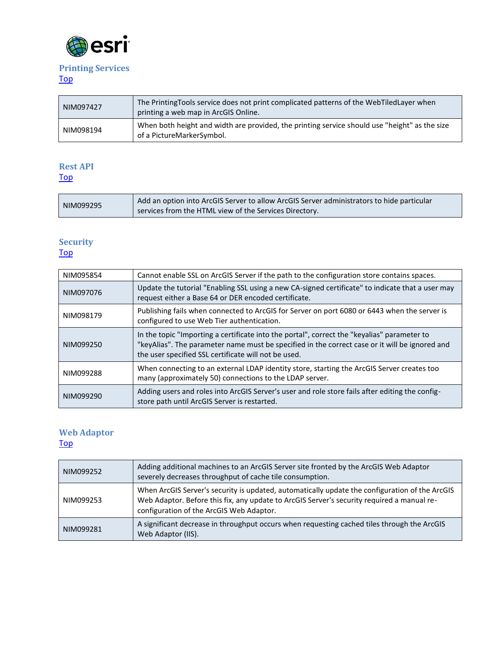

# <span id="page-10-0"></span>**Printing Services**

## [Top](#page-0-2)

| NIM097427 | The Printing Tools service does not print complicated patterns of the WebTiled Layer when<br>printing a web map in ArcGIS Online. |
|-----------|-----------------------------------------------------------------------------------------------------------------------------------|
| NIM098194 | When both height and width are provided, the printing service should use "height" as the size<br>of a PictureMarkerSymbol.        |

## <span id="page-10-1"></span>**Rest API**

[Top](#page-0-2)

| NIM099295<br>services from the HTML view of the Services Directory. |  | Add an option into ArcGIS Server to allow ArcGIS Server administrators to hide particular |
|---------------------------------------------------------------------|--|-------------------------------------------------------------------------------------------|
|---------------------------------------------------------------------|--|-------------------------------------------------------------------------------------------|

### <span id="page-10-2"></span>**Security** [Top](#page-0-2)

| NIM095854 | Cannot enable SSL on ArcGIS Server if the path to the configuration store contains spaces.                                                                                                                                                            |
|-----------|-------------------------------------------------------------------------------------------------------------------------------------------------------------------------------------------------------------------------------------------------------|
| NIM097076 | Update the tutorial "Enabling SSL using a new CA-signed certificate" to indicate that a user may<br>request either a Base 64 or DER encoded certificate.                                                                                              |
| NIM098179 | Publishing fails when connected to ArcGIS for Server on port 6080 or 6443 when the server is<br>configured to use Web Tier authentication.                                                                                                            |
| NIM099250 | In the topic "Importing a certificate into the portal", correct the "keyalias" parameter to<br>"keyAlias". The parameter name must be specified in the correct case or it will be ignored and<br>the user specified SSL certificate will not be used. |
| NIM099288 | When connecting to an external LDAP identity store, starting the ArcGIS Server creates too<br>many (approximately 50) connections to the LDAP server.                                                                                                 |
| NIM099290 | Adding users and roles into ArcGIS Server's user and role store fails after editing the config-<br>store path until ArcGIS Server is restarted.                                                                                                       |

### <span id="page-10-3"></span>**Web Adaptor**  [Top](#page-0-2)

| NIM099252 | Adding additional machines to an ArcGIS Server site fronted by the ArcGIS Web Adaptor<br>severely decreases throughput of cache tile consumption.                                                                                        |
|-----------|------------------------------------------------------------------------------------------------------------------------------------------------------------------------------------------------------------------------------------------|
| NIM099253 | When ArcGIS Server's security is updated, automatically update the configuration of the ArcGIS<br>Web Adaptor. Before this fix, any update to ArcGIS Server's security required a manual re-<br>configuration of the ArcGIS Web Adaptor. |
| NIM099281 | A significant decrease in throughput occurs when requesting cached tiles through the ArcGIS<br>Web Adaptor (IIS).                                                                                                                        |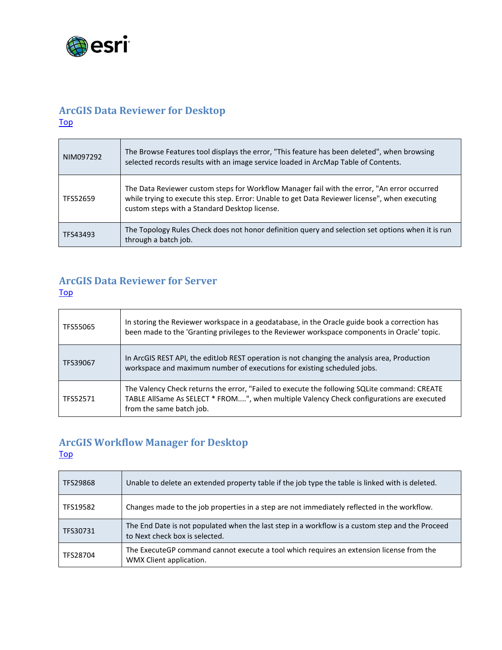

## <span id="page-11-0"></span>**ArcGIS Data Reviewer for Desktop** [Top](#page-0-2)

| NIM097292 | The Browse Features tool displays the error, "This feature has been deleted", when browsing<br>selected records results with an image service loaded in ArcMap Table of Contents.                                                              |
|-----------|------------------------------------------------------------------------------------------------------------------------------------------------------------------------------------------------------------------------------------------------|
| TFS52659  | The Data Reviewer custom steps for Workflow Manager fail with the error, "An error occurred<br>while trying to execute this step. Error: Unable to get Data Reviewer license", when executing<br>custom steps with a Standard Desktop license. |
| TFS43493  | The Topology Rules Check does not honor definition query and selection set options when it is run<br>through a batch job.                                                                                                                      |

## <span id="page-11-1"></span>**ArcGIS Data Reviewer for Server**

#### [Top](#page-0-2)

| TFS55065 | In storing the Reviewer workspace in a geodatabase, in the Oracle guide book a correction has<br>been made to the 'Granting privileges to the Reviewer workspace components in Oracle' topic.                        |
|----------|----------------------------------------------------------------------------------------------------------------------------------------------------------------------------------------------------------------------|
| TFS39067 | In ArcGIS REST API, the editJob REST operation is not changing the analysis area, Production<br>workspace and maximum number of executions for existing scheduled jobs.                                              |
| TFS52571 | The Valency Check returns the error, "Failed to execute the following SQLite command: CREATE<br>TABLE AllSame As SELECT * FROM", when multiple Valency Check configurations are executed<br>from the same batch job. |

## <span id="page-11-2"></span>**ArcGIS Workflow Manager for Desktop**

[Top](#page-0-2)

| TFS29868 | Unable to delete an extended property table if the job type the table is linked with is deleted.                                  |
|----------|-----------------------------------------------------------------------------------------------------------------------------------|
| TFS19582 | Changes made to the job properties in a step are not immediately reflected in the workflow.                                       |
| TFS30731 | The End Date is not populated when the last step in a workflow is a custom step and the Proceed<br>to Next check box is selected. |
| TFS28704 | The ExecuteGP command cannot execute a tool which requires an extension license from the<br>WMX Client application.               |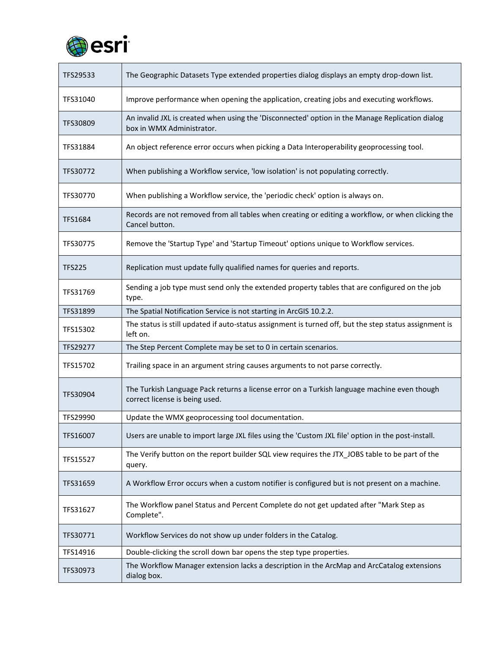

| TFS29533       | The Geographic Datasets Type extended properties dialog displays an empty drop-down list.                                     |
|----------------|-------------------------------------------------------------------------------------------------------------------------------|
| TFS31040       | Improve performance when opening the application, creating jobs and executing workflows.                                      |
| TFS30809       | An invalid JXL is created when using the 'Disconnected' option in the Manage Replication dialog<br>box in WMX Administrator.  |
| TFS31884       | An object reference error occurs when picking a Data Interoperability geoprocessing tool.                                     |
| TFS30772       | When publishing a Workflow service, 'low isolation' is not populating correctly.                                              |
| TFS30770       | When publishing a Workflow service, the 'periodic check' option is always on.                                                 |
| <b>TFS1684</b> | Records are not removed from all tables when creating or editing a workflow, or when clicking the<br>Cancel button.           |
| TFS30775       | Remove the 'Startup Type' and 'Startup Timeout' options unique to Workflow services.                                          |
| <b>TFS225</b>  | Replication must update fully qualified names for queries and reports.                                                        |
| TFS31769       | Sending a job type must send only the extended property tables that are configured on the job<br>type.                        |
| TFS31899       | The Spatial Notification Service is not starting in ArcGIS 10.2.2.                                                            |
| TFS15302       | The status is still updated if auto-status assignment is turned off, but the step status assignment is<br>left on.            |
| TFS29277       | The Step Percent Complete may be set to 0 in certain scenarios.                                                               |
| TFS15702       | Trailing space in an argument string causes arguments to not parse correctly.                                                 |
| TFS30904       | The Turkish Language Pack returns a license error on a Turkish language machine even though<br>correct license is being used. |
| TFS29990       | Update the WMX geoprocessing tool documentation.                                                                              |
| TFS16007       | Users are unable to import large JXL files using the 'Custom JXL file' option in the post-install.                            |
| TFS15527       | The Verify button on the report builder SQL view requires the JTX JOBS table to be part of the<br>query.                      |
| TFS31659       | A Workflow Error occurs when a custom notifier is configured but is not present on a machine.                                 |
| TFS31627       | The Workflow panel Status and Percent Complete do not get updated after "Mark Step as<br>Complete".                           |
| TFS30771       | Workflow Services do not show up under folders in the Catalog.                                                                |
| TFS14916       | Double-clicking the scroll down bar opens the step type properties.                                                           |
| TFS30973       | The Workflow Manager extension lacks a description in the ArcMap and ArcCatalog extensions<br>dialog box.                     |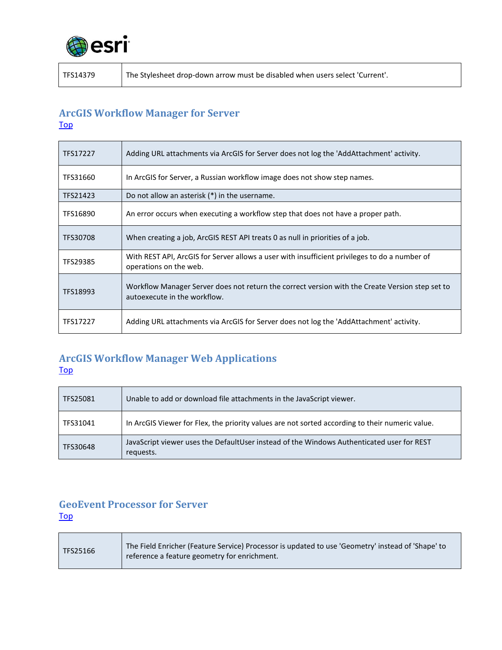

m.

TFS14379 The Stylesheet drop-down arrow must be disabled when users select 'Current'.

## <span id="page-13-0"></span>**ArcGIS Workflow Manager for Server** [Top](#page-0-2)

| TFS17227 | Adding URL attachments via ArcGIS for Server does not log the 'AddAttachment' activity.                                         |
|----------|---------------------------------------------------------------------------------------------------------------------------------|
| TFS31660 | In ArcGIS for Server, a Russian workflow image does not show step names.                                                        |
| TFS21423 | Do not allow an asterisk $(*)$ in the username.                                                                                 |
| TFS16890 | An error occurs when executing a workflow step that does not have a proper path.                                                |
| TFS30708 | When creating a job, ArcGIS REST API treats 0 as null in priorities of a job.                                                   |
| TFS29385 | With REST API, ArcGIS for Server allows a user with insufficient privileges to do a number of<br>operations on the web.         |
| TFS18993 | Workflow Manager Server does not return the correct version with the Create Version step set to<br>autoexecute in the workflow. |
| TFS17227 | Adding URL attachments via ArcGIS for Server does not log the 'AddAttachment' activity.                                         |

## <span id="page-13-1"></span>**ArcGIS Workflow Manager Web Applications [Top](#page-0-2)**

| TFS25081 | Unable to add or download file attachments in the JavaScript viewer.                                   |
|----------|--------------------------------------------------------------------------------------------------------|
| TFS31041 | In ArcGIS Viewer for Flex, the priority values are not sorted according to their numeric value.        |
| TFS30648 | JavaScript viewer uses the DefaultUser instead of the Windows Authenticated user for REST<br>requests. |

## <span id="page-13-2"></span>**GeoEvent Processor for Server** [Top](#page-0-2)

T

| TFS25166 | The Field Enricher (Feature Service) Processor is updated to use 'Geometry' instead of 'Shape' to<br>reference a feature geometry for enrichment. |
|----------|---------------------------------------------------------------------------------------------------------------------------------------------------|
|----------|---------------------------------------------------------------------------------------------------------------------------------------------------|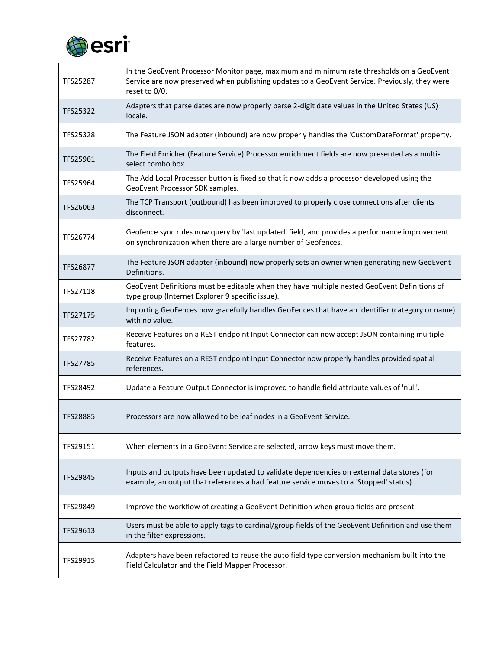

| TFS25287        | In the GeoEvent Processor Monitor page, maximum and minimum rate thresholds on a GeoEvent<br>Service are now preserved when publishing updates to a GeoEvent Service. Previously, they were<br>reset to 0/0. |
|-----------------|--------------------------------------------------------------------------------------------------------------------------------------------------------------------------------------------------------------|
| TFS25322        | Adapters that parse dates are now properly parse 2-digit date values in the United States (US)<br>locale.                                                                                                    |
| TFS25328        | The Feature JSON adapter (inbound) are now properly handles the 'CustomDateFormat' property.                                                                                                                 |
| TFS25961        | The Field Enricher (Feature Service) Processor enrichment fields are now presented as a multi-<br>select combo box.                                                                                          |
| TFS25964        | The Add Local Processor button is fixed so that it now adds a processor developed using the<br>GeoEvent Processor SDK samples.                                                                               |
| TFS26063        | The TCP Transport (outbound) has been improved to properly close connections after clients<br>disconnect.                                                                                                    |
| TFS26774        | Geofence sync rules now query by 'last updated' field, and provides a performance improvement<br>on synchronization when there are a large number of Geofences.                                              |
| <b>TFS26877</b> | The Feature JSON adapter (inbound) now properly sets an owner when generating new GeoEvent<br>Definitions.                                                                                                   |
| TFS27118        | GeoEvent Definitions must be editable when they have multiple nested GeoEvent Definitions of<br>type group (Internet Explorer 9 specific issue).                                                             |
| TFS27175        | Importing GeoFences now gracefully handles GeoFences that have an identifier (category or name)<br>with no value.                                                                                            |
| TFS27782        | Receive Features on a REST endpoint Input Connector can now accept JSON containing multiple<br>features.                                                                                                     |
| TFS27785        | Receive Features on a REST endpoint Input Connector now properly handles provided spatial<br>references.                                                                                                     |
| TFS28492        | Update a Feature Output Connector is improved to handle field attribute values of 'null'.                                                                                                                    |
| TFS28885        | Processors are now allowed to be leaf nodes in a GeoEvent Service.                                                                                                                                           |
| TFS29151        | When elements in a GeoEvent Service are selected, arrow keys must move them.                                                                                                                                 |
| TFS29845        | Inputs and outputs have been updated to validate dependencies on external data stores (for<br>example, an output that references a bad feature service moves to a 'Stopped' status).                         |
| TFS29849        | Improve the workflow of creating a GeoEvent Definition when group fields are present.                                                                                                                        |
| TFS29613        | Users must be able to apply tags to cardinal/group fields of the GeoEvent Definition and use them<br>in the filter expressions.                                                                              |
| TFS29915        | Adapters have been refactored to reuse the auto field type conversion mechanism built into the<br>Field Calculator and the Field Mapper Processor.                                                           |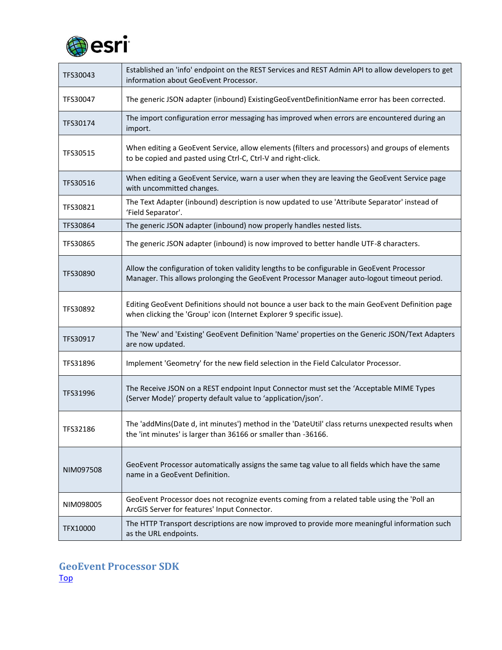

| TFS30043  | Established an 'info' endpoint on the REST Services and REST Admin API to allow developers to get<br>information about GeoEvent Processor.                                               |
|-----------|------------------------------------------------------------------------------------------------------------------------------------------------------------------------------------------|
| TFS30047  | The generic JSON adapter (inbound) ExistingGeoEventDefinitionName error has been corrected.                                                                                              |
| TFS30174  | The import configuration error messaging has improved when errors are encountered during an<br>import.                                                                                   |
| TFS30515  | When editing a GeoEvent Service, allow elements (filters and processors) and groups of elements<br>to be copied and pasted using Ctrl-C, Ctrl-V and right-click.                         |
| TFS30516  | When editing a GeoEvent Service, warn a user when they are leaving the GeoEvent Service page<br>with uncommitted changes.                                                                |
| TFS30821  | The Text Adapter (inbound) description is now updated to use 'Attribute Separator' instead of<br>'Field Separator'.                                                                      |
| TFS30864  | The generic JSON adapter (inbound) now properly handles nested lists.                                                                                                                    |
| TFS30865  | The generic JSON adapter (inbound) is now improved to better handle UTF-8 characters.                                                                                                    |
| TFS30890  | Allow the configuration of token validity lengths to be configurable in GeoEvent Processor<br>Manager. This allows prolonging the GeoEvent Processor Manager auto-logout timeout period. |
| TFS30892  | Editing GeoEvent Definitions should not bounce a user back to the main GeoEvent Definition page<br>when clicking the 'Group' icon (Internet Explorer 9 specific issue).                  |
| TFS30917  | The 'New' and 'Existing' GeoEvent Definition 'Name' properties on the Generic JSON/Text Adapters<br>are now updated.                                                                     |
| TFS31896  | Implement 'Geometry' for the new field selection in the Field Calculator Processor.                                                                                                      |
| TFS31996  | The Receive JSON on a REST endpoint Input Connector must set the 'Acceptable MIME Types<br>(Server Mode)' property default value to 'application/json'.                                  |
| TFS32186  | The 'addMins(Date d, int minutes') method in the 'DateUtil' class returns unexpected results when<br>the 'int minutes' is larger than 36166 or smaller than -36166.                      |
| NIM097508 | GeoEvent Processor automatically assigns the same tag value to all fields which have the same<br>name in a GeoEvent Definition.                                                          |
| NIM098005 | GeoEvent Processor does not recognize events coming from a related table using the 'Poll an<br>ArcGIS Server for features' Input Connector.                                              |
| TFX10000  | The HTTP Transport descriptions are now improved to provide more meaningful information such<br>as the URL endpoints.                                                                    |

<span id="page-15-0"></span>**GeoEvent Processor SDK** [Top](#page-0-2)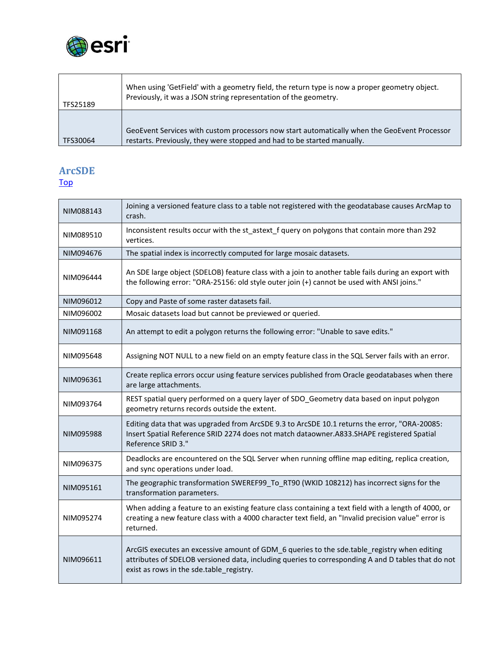

| TFS25189 | When using 'GetField' with a geometry field, the return type is now a proper geometry object.<br>Previously, it was a JSON string representation of the geometry.       |
|----------|-------------------------------------------------------------------------------------------------------------------------------------------------------------------------|
| TFS30064 | GeoEvent Services with custom processors now start automatically when the GeoEvent Processor<br>restarts. Previously, they were stopped and had to be started manually. |

# **ArcSDE**

[Top](#page-0-2)

| NIM088143 | Joining a versioned feature class to a table not registered with the geodatabase causes ArcMap to<br>crash.                                                                                                                                   |
|-----------|-----------------------------------------------------------------------------------------------------------------------------------------------------------------------------------------------------------------------------------------------|
| NIM089510 | Inconsistent results occur with the st_astext_f query on polygons that contain more than 292<br>vertices.                                                                                                                                     |
| NIM094676 | The spatial index is incorrectly computed for large mosaic datasets.                                                                                                                                                                          |
| NIM096444 | An SDE large object (SDELOB) feature class with a join to another table fails during an export with<br>the following error: "ORA-25156: old style outer join (+) cannot be used with ANSI joins."                                             |
| NIM096012 | Copy and Paste of some raster datasets fail.                                                                                                                                                                                                  |
| NIM096002 | Mosaic datasets load but cannot be previewed or queried.                                                                                                                                                                                      |
| NIM091168 | An attempt to edit a polygon returns the following error: "Unable to save edits."                                                                                                                                                             |
| NIM095648 | Assigning NOT NULL to a new field on an empty feature class in the SQL Server fails with an error.                                                                                                                                            |
| NIM096361 | Create replica errors occur using feature services published from Oracle geodatabases when there<br>are large attachments.                                                                                                                    |
| NIM093764 | REST spatial query performed on a query layer of SDO_Geometry data based on input polygon<br>geometry returns records outside the extent.                                                                                                     |
| NIM095988 | Editing data that was upgraded from ArcSDE 9.3 to ArcSDE 10.1 returns the error, "ORA-20085:<br>Insert Spatial Reference SRID 2274 does not match dataowner.A833.SHAPE registered Spatial<br>Reference SRID 3."                               |
| NIM096375 | Deadlocks are encountered on the SQL Server when running offline map editing, replica creation,<br>and sync operations under load.                                                                                                            |
| NIM095161 | The geographic transformation SWEREF99 To RT90 (WKID 108212) has incorrect signs for the<br>transformation parameters.                                                                                                                        |
| NIM095274 | When adding a feature to an existing feature class containing a text field with a length of 4000, or<br>creating a new feature class with a 4000 character text field, an "Invalid precision value" error is<br>returned.                     |
| NIM096611 | ArcGIS executes an excessive amount of GDM 6 queries to the sde.table registry when editing<br>attributes of SDELOB versioned data, including queries to corresponding A and D tables that do not<br>exist as rows in the sde.table registry. |